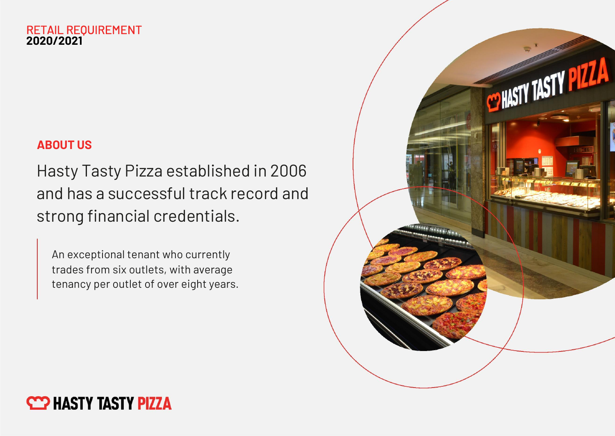#### RETAIL REQUIREMENT **2020/2021**

## ABOUT US

Hasty Tasty Pizza established in 2006 and has a successful track record and strong financial credentials.

An exceptional tenant who currently trades from six outlets, with average tenancy per outlet of over eight years.



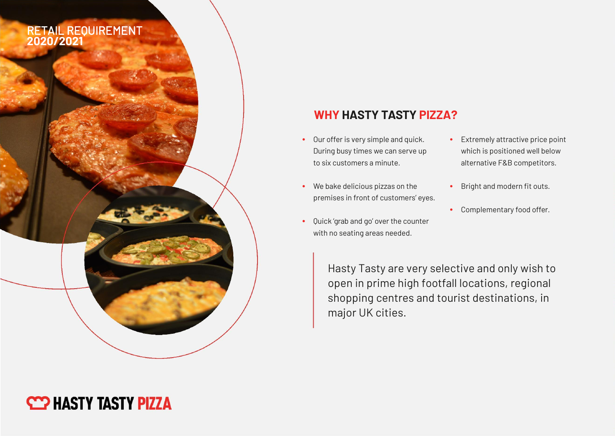### RETAIL REQUIREMENT **2020/2021**

### WHY HASTY TASTY PIZZA?

- Our offer is very simple and quick. During busy times we can serve up to six customers a minute.
- We bake delicious pizzas on the premises in front of customers' eyes.
- Quick 'grab and go' over the counter with no seating areas needed.
- Extremely attractive price point which is positioned well below alternative F&B competitors.
- Bright and modern fit outs.
- Complementary food offer.

Hasty Tasty are very selective and only wish to open in prime high footfall locations, regional shopping centres and tourist destinations, in major UK cities.